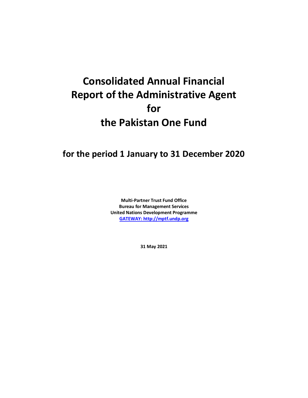## **Consolidated Annual Financial Report of the Administrative Agent for the Pakistan One Fund**

## **for the period 1 January to 31 December 2020**

**Multi-Partner Trust Fund Office Bureau for Management Services United Nations Development Programme [GATEWAY: http://mptf.undp.org](http://mptf.undp.org/)**

**31 May 2021**